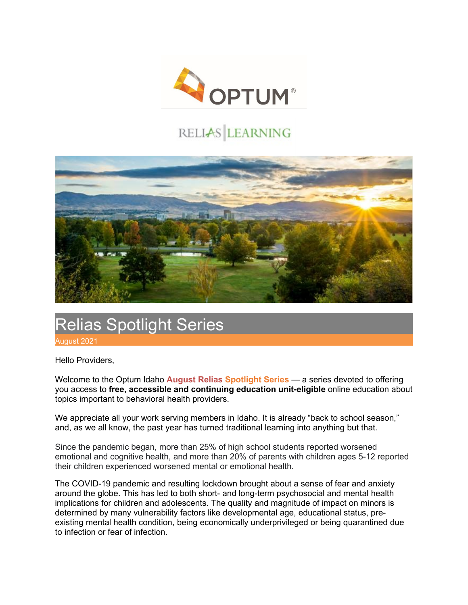

## RELIAS LEARNING



## Relias Spotlight Series

August 2021

Hello Providers,

Welcome to the Optum Idaho **August Relias Spotlight Series** — a series devoted to offering you access to **free, accessible and continuing education unit-eligible** online education about topics important to behavioral health providers.

We appreciate all your work serving members in Idaho. It is already "back to school season," and, as we all know, the past year has turned traditional learning into anything but that.

Since the pandemic began, more than 25% of high school students reported worsened emotional and cognitive health, and more than 20% of parents with children ages 5-12 reported their children experienced worsened mental or emotional health.

The COVID-19 pandemic and resulting lockdown brought about a sense of fear and anxiety around the globe. This has led to both short- and long-term psychosocial and mental health implications for children and adolescents. The quality and magnitude of impact on minors is determined by many vulnerability factors like developmental age, educational status, preexisting mental health condition, being economically underprivileged or being quarantined due to infection or fear of infection.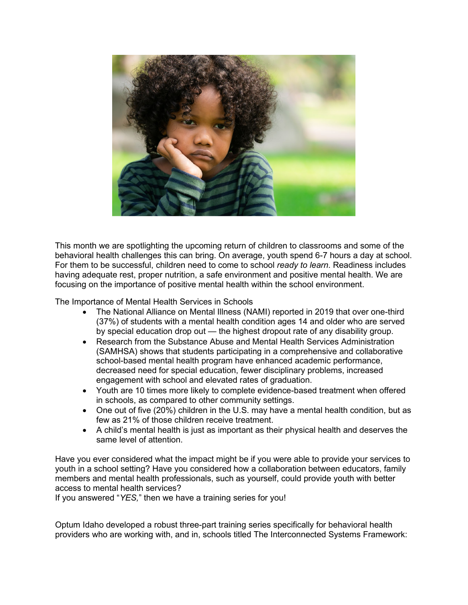

This month we are spotlighting the upcoming return of children to classrooms and some of the behavioral health challenges this can bring. On average, youth spend 6-7 hours a day at school. For them to be successful, children need to come to school *ready to learn*. Readiness includes having adequate rest, proper nutrition, a safe environment and positive mental health. We are focusing on the importance of positive mental health within the school environment.

The Importance of Mental Health Services in Schools

- The National Alliance on Mental Illness (NAMI) reported in 2019 that over one-third (37%) of students with a mental health condition ages 14 and older who are served by special education drop out — the highest dropout rate of any disability group.
- Research from the Substance Abuse and Mental Health Services Administration (SAMHSA) shows that students participating in a comprehensive and collaborative school-based mental health program have enhanced academic performance, decreased need for special education, fewer disciplinary problems, increased engagement with school and elevated rates of graduation.
- Youth are 10 times more likely to complete evidence-based treatment when offered in schools, as compared to other community settings.
- One out of five (20%) children in the U.S. may have a mental health condition, but as few as 21% of those children receive treatment.
- A child's mental health is just as important as their physical health and deserves the same level of attention.

Have you ever considered what the impact might be if you were able to provide your services to youth in a school setting? Have you considered how a collaboration between educators, family members and mental health professionals, such as yourself, could provide youth with better access to mental health services?

If you answered "*YES,*" then we have a training series for you!

Optum Idaho developed a robust three-part training series specifically for behavioral health providers who are working with, and in, schools titled The Interconnected Systems Framework: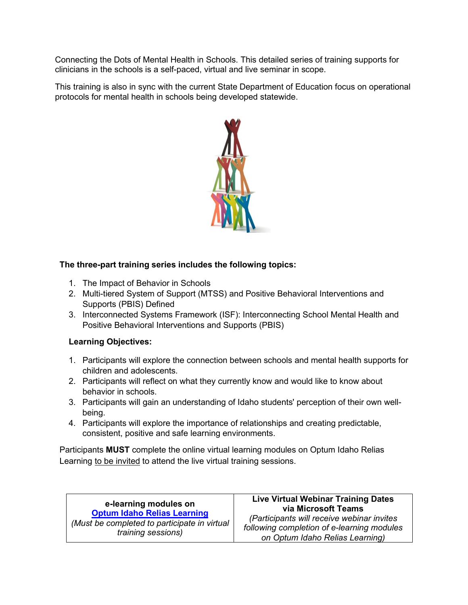Connecting the Dots of Mental Health in Schools. This detailed series of training supports for clinicians in the schools is a self-paced, virtual and live seminar in scope.

This training is also in sync with the current State Department of Education focus on operational protocols for mental health in schools being developed statewide.



## **The three-part training series includes the following topics:**

- 1. The Impact of Behavior in Schools
- 2. Multi-tiered System of Support (MTSS) and Positive Behavioral Interventions and Supports (PBIS) Defined
- 3. Interconnected Systems Framework (ISF): Interconnecting School Mental Health and Positive Behavioral Interventions and Supports (PBIS)

## **Learning Objectives:**

- 1. Participants will explore the connection between schools and mental health supports for children and adolescents.
- 2. Participants will reflect on what they currently know and would like to know about behavior in schools.
- 3. Participants will gain an understanding of Idaho students' perception of their own wellbeing.
- 4. Participants will explore the importance of relationships and creating predictable, consistent, positive and safe learning environments.

Participants **MUST** complete the online virtual learning modules on Optum Idaho Relias Learning to be invited to attend the live virtual training sessions.

**e-learning modules on [Optum Idaho Relias Learning](https://login.reliaslearning.com/login?returnUrl=%2Fconnect%2Fauthorize%2Fcallback%3Fclient_id%3Drlms-legacy%26response_mode%3Dform_post%26response_type%3Dcode%2520id_token%26scope%3Dusersapi%2520assessmentsapi%2520learningapi%2520openid%2520impersonator%2520saml%2520offline_access%2520identityapi%2520learning-reporting-api%26state%3DOpenIdConnect.AuthenticationProperties%253DBc7BSC_JhQMmisJVshAROkC0OLYnpss6LZQnzC2_-2vM0BVmqaav2q_UyipYUFnN5DuaFN4aofgqhvw6pl4Fr8pe0gz4J-Y5Iowsx7VH_CyaQHxaCycSVQ3ExmkBqJQA5lJ4EZiq70t7KPa9-_DO_ttJaeseYO4hS0XWi1gYHig%26nonce%3D637528236510773311.YTM1ZDFmMmEtNjFhZS00OTY1LWE3MzMtZTVkMDkzODNhOGNjYjk2MDBmZTEtY2ZhZS00OWY4LTllMGMtYThjNGNjYjdkZmMw%26redirect_uri%3Dhttps%253A%252F%252Foptumidaho.training.reliaslearning.com%26post_logout_redirect_uri%3Dhttps%253A%252F%252Foptumidaho.training.reliaslearning.com%26acr_values%3DorgId%253A2747%2520)** *(Must be completed to participate in virtual training sessions)*